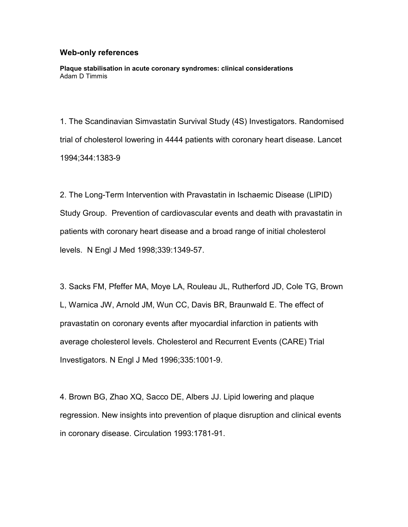## **Web-only references**

**Plaque stabilisation in acute coronary syndromes: clinical considerations** Adam D Timmis

1. The Scandinavian Simvastatin Survival Study (4S) Investigators. Randomised trial of cholesterol lowering in 4444 patients with coronary heart disease. Lancet 1994;344:1383-9

2. The Long-Term Intervention with Pravastatin in Ischaemic Disease (LIPID) Study Group. Prevention of cardiovascular events and death with pravastatin in patients with coronary heart disease and a broad range of initial cholesterol levels. N Engl J Med 1998;339:1349-57.

3. Sacks FM, Pfeffer MA, Moye LA, Rouleau JL, Rutherford JD, Cole TG, Brown L, Warnica JW, Arnold JM, Wun CC, Davis BR, Braunwald E. The effect of pravastatin on coronary events after myocardial infarction in patients with average cholesterol levels. Cholesterol and Recurrent Events (CARE) Trial Investigators. N Engl J Med 1996;335:1001-9.

4. Brown BG, Zhao XQ, Sacco DE, Albers JJ. Lipid lowering and plaque regression. New insights into prevention of plaque disruption and clinical events in coronary disease. Circulation 1993:1781-91.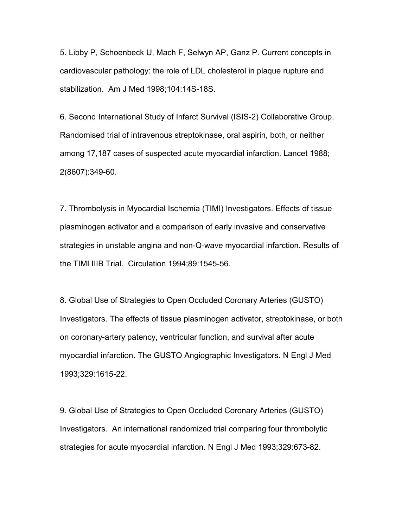5. Libby P, Schoenbeck U, Mach F, Selwyn AP, Ganz P. Current concepts in cardiovascular pathology: the role of LDL cholesterol in plaque rupture and stabilization. Am J Med 1998;104:14S-18S.

6. Second International Study of Infarct Survival (ISIS-2) Collaborative Group. Randomised trial of intravenous streptokinase, oral aspirin, both, or neither among 17,187 cases of suspected acute myocardial infarction. Lancet 1988; 2(8607):349-60.

7. Thrombolysis in Myocardial Ischemia (TIMI) Investigators. Effects of tissue plasminogen activator and a comparison of early invasive and conservative strategies in unstable angina and non-Q-wave myocardial infarction. Results of the TIMI IIIB Trial. Circulation 1994;89:1545-56.

8. Global Use of Strategies to Open Occluded Coronary Arteries (GUSTO) Investigators. The effects of tissue plasminogen activator, streptokinase, or both on coronary-artery patency, ventricular function, and survival after acute myocardial infarction. The GUSTO Angiographic Investigators. N Engl J Med 1993;329:1615-22.

9. Global Use of Strategies to Open Occluded Coronary Arteries (GUSTO) Investigators. An international randomized trial comparing four thrombolytic strategies for acute myocardial infarction. N Engl J Med 1993;329:673-82.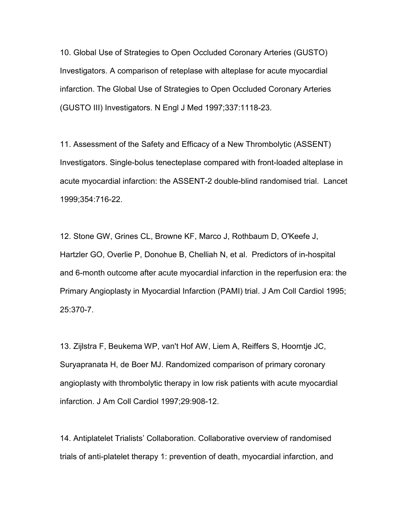10. Global Use of Strategies to Open Occluded Coronary Arteries (GUSTO) Investigators. A comparison of reteplase with alteplase for acute myocardial infarction. The Global Use of Strategies to Open Occluded Coronary Arteries (GUSTO III) Investigators. N Engl J Med 1997;337:1118-23.

11. Assessment of the Safety and Efficacy of a New Thrombolytic (ASSENT) Investigators. Single-bolus tenecteplase compared with front-loaded alteplase in acute myocardial infarction: the ASSENT-2 double-blind randomised trial. Lancet 1999;354:716-22.

12. Stone GW, Grines CL, Browne KF, Marco J, Rothbaum D, O'Keefe J, Hartzler GO, Overlie P, Donohue B, Chelliah N, et al. Predictors of in-hospital and 6-month outcome after acute myocardial infarction in the reperfusion era: the Primary Angioplasty in Myocardial Infarction (PAMI) trial. J Am Coll Cardiol 1995; 25:370-7.

13. Zijlstra F, Beukema WP, van't Hof AW, Liem A, Reiffers S, Hoorntje JC, Suryapranata H, de Boer MJ. Randomized comparison of primary coronary angioplasty with thrombolytic therapy in low risk patients with acute myocardial infarction. J Am Coll Cardiol 1997;29:908-12.

14. Antiplatelet Trialists' Collaboration. Collaborative overview of randomised trials of anti-platelet therapy 1: prevention of death, myocardial infarction, and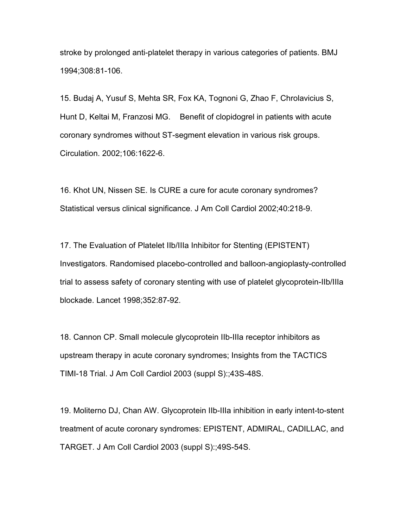stroke by prolonged anti-platelet therapy in various categories of patients. BMJ 1994;308:81-106.

15. Budaj A, Yusuf S, Mehta SR, Fox KA, Tognoni G, Zhao F, Chrolavicius S, Hunt D, Keltai M, Franzosi MG. Benefit of clopidogrel in patients with acute coronary syndromes without ST-segment elevation in various risk groups. Circulation. 2002;106:1622-6.

16. Khot UN, Nissen SE. Is CURE a cure for acute coronary syndromes? Statistical versus clinical significance. J Am Coll Cardiol 2002;40:218-9.

17. The Evaluation of Platelet IIb/IIIa Inhibitor for Stenting (EPISTENT) Investigators. Randomised placebo-controlled and balloon-angioplasty-controlled trial to assess safety of coronary stenting with use of platelet glycoprotein-IIb/IIIa blockade. Lancet 1998;352:87-92.

18. Cannon CP. Small molecule glycoprotein IIb-IIIa receptor inhibitors as upstream therapy in acute coronary syndromes; Insights from the TACTICS TIMI-18 Trial. J Am Coll Cardiol 2003 (suppl S):;43S-48S.

19. Moliterno DJ, Chan AW. Glycoprotein IIb-IIIa inhibition in early intent-to-stent treatment of acute coronary syndromes: EPISTENT, ADMIRAL, CADILLAC, and TARGET. J Am Coll Cardiol 2003 (suppl S):;49S-54S.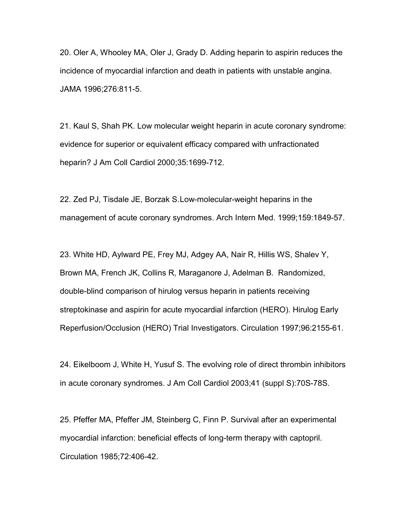20. Oler A, Whooley MA, Oler J, Grady D. Adding heparin to aspirin reduces the incidence of myocardial infarction and death in patients with unstable angina. JAMA 1996;276:811-5.

21. Kaul S, Shah PK. Low molecular weight heparin in acute coronary syndrome: evidence for superior or equivalent efficacy compared with unfractionated heparin? J Am Coll Cardiol 2000;35:1699-712.

22. Zed PJ, Tisdale JE, Borzak S.Low-molecular-weight heparins in the management of acute coronary syndromes. Arch Intern Med. 1999;159:1849-57.

23. White HD, Aylward PE, Frey MJ, Adgey AA, Nair R, Hillis WS, Shalev Y, Brown MA, French JK, Collins R, Maraganore J, Adelman B. Randomized, double-blind comparison of hirulog versus heparin in patients receiving streptokinase and aspirin for acute myocardial infarction (HERO). Hirulog Early Reperfusion/Occlusion (HERO) Trial Investigators. Circulation 1997;96:2155-61.

24. Eikelboom J, White H, Yusuf S. The evolving role of direct thrombin inhibitors in acute coronary syndromes. J Am Coll Cardiol 2003;41 (suppl S):70S-78S.

25. Pfeffer MA, Pfeffer JM, Steinberg C, Finn P. Survival after an experimental myocardial infarction: beneficial effects of long-term therapy with captopril. Circulation 1985;72:406-42.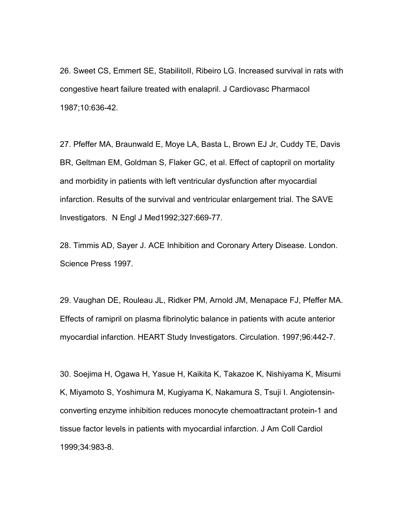26. Sweet CS, Emmert SE, StabilitoII, Ribeiro LG. Increased survival in rats with congestive heart failure treated with enalapril. J Cardiovasc Pharmacol 1987;10:636-42.

27. Pfeffer MA, Braunwald E, Moye LA, Basta L, Brown EJ Jr, Cuddy TE, Davis BR, Geltman EM, Goldman S, Flaker GC, et al. Effect of captopril on mortality and morbidity in patients with left ventricular dysfunction after myocardial infarction. Results of the survival and ventricular enlargement trial. The SAVE Investigators. N Engl J Med1992;327:669-77.

28. Timmis AD, Sayer J. ACE Inhibition and Coronary Artery Disease. London. Science Press 1997.

29. Vaughan DE, Rouleau JL, Ridker PM, Arnold JM, Menapace FJ, Pfeffer MA. Effects of ramipril on plasma fibrinolytic balance in patients with acute anterior myocardial infarction. HEART Study Investigators. Circulation. 1997;96:442-7.

30. Soejima H, Ogawa H, Yasue H, Kaikita K, Takazoe K, Nishiyama K, Misumi K, Miyamoto S, Yoshimura M, Kugiyama K, Nakamura S, Tsuji I. Angiotensinconverting enzyme inhibition reduces monocyte chemoattractant protein-1 and tissue factor levels in patients with myocardial infarction. J Am Coll Cardiol 1999;34:983-8.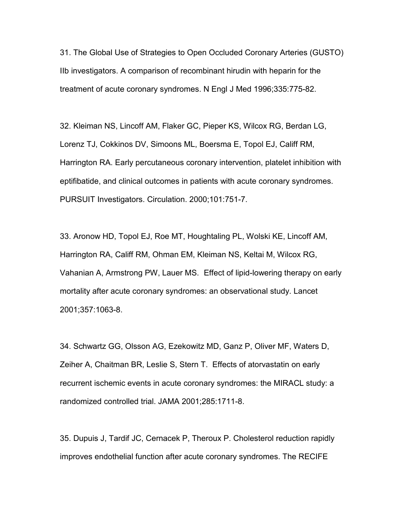31. The Global Use of Strategies to Open Occluded Coronary Arteries (GUSTO) IIb investigators. A comparison of recombinant hirudin with heparin for the treatment of acute coronary syndromes. N Engl J Med 1996;335:775-82.

32. Kleiman NS, Lincoff AM, Flaker GC, Pieper KS, Wilcox RG, Berdan LG, Lorenz TJ, Cokkinos DV, Simoons ML, Boersma E, Topol EJ, Califf RM, Harrington RA. Early percutaneous coronary intervention, platelet inhibition with eptifibatide, and clinical outcomes in patients with acute coronary syndromes. PURSUIT Investigators. Circulation. 2000;101:751-7.

33. Aronow HD, Topol EJ, Roe MT, Houghtaling PL, Wolski KE, Lincoff AM, Harrington RA, Califf RM, Ohman EM, Kleiman NS, Keltai M, Wilcox RG, Vahanian A, Armstrong PW, Lauer MS. Effect of lipid-lowering therapy on early mortality after acute coronary syndromes: an observational study. Lancet 2001;357:1063-8.

34. Schwartz GG, Olsson AG, Ezekowitz MD, Ganz P, Oliver MF, Waters D, Zeiher A, Chaitman BR, Leslie S, Stern T. Effects of atorvastatin on early recurrent ischemic events in acute coronary syndromes: the MIRACL study: a randomized controlled trial. JAMA 2001;285:1711-8.

35. Dupuis J, Tardif JC, Cernacek P, Theroux P. Cholesterol reduction rapidly improves endothelial function after acute coronary syndromes. The RECIFE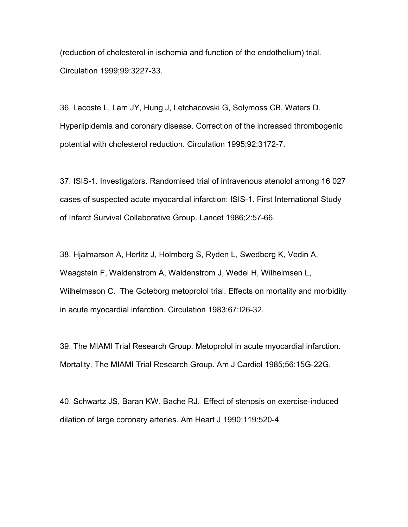(reduction of cholesterol in ischemia and function of the endothelium) trial. Circulation 1999;99:3227-33.

36. Lacoste L, Lam JY, Hung J, Letchacovski G, Solymoss CB, Waters D. Hyperlipidemia and coronary disease. Correction of the increased thrombogenic potential with cholesterol reduction. Circulation 1995;92:3172-7.

37. ISIS-1. Investigators. Randomised trial of intravenous atenolol among 16 027 cases of suspected acute myocardial infarction: ISIS-1. First International Study of Infarct Survival Collaborative Group. Lancet 1986;2:57-66.

38. Hjalmarson A, Herlitz J, Holmberg S, Ryden L, Swedberg K, Vedin A, Waagstein F, Waldenstrom A, Waldenstrom J, Wedel H, Wilhelmsen L, Wilhelmsson C. The Goteborg metoprolol trial. Effects on mortality and morbidity in acute myocardial infarction. Circulation 1983;67:I26-32.

39. The MIAMI Trial Research Group. Metoprolol in acute myocardial infarction. Mortality. The MIAMI Trial Research Group. Am J Cardiol 1985;56:15G-22G.

40. Schwartz JS, Baran KW, Bache RJ. Effect of stenosis on exercise-induced dilation of large coronary arteries. Am Heart J 1990;119:520-4